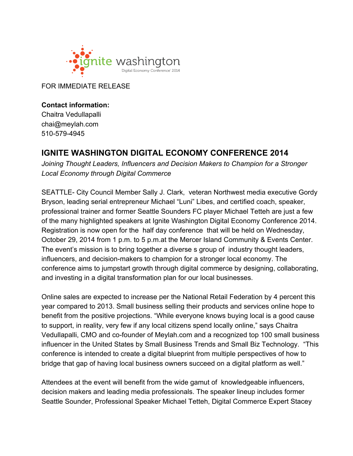

FOR IMMEDIATE RELEASE

**Contact information:** Chaitra Vedullapalli chai@meylah.com 510-579-4945

## **IGNITE WASHINGTON DIGITAL ECONOMY CONFERENCE 2014**

*Joining Thought Leaders, Influencers and Decision Makers to Champion for a Stronger Local Economy through Digital Commerce*

SEATTLE- City Council Member Sally J. Clark, veteran Northwest media executive Gordy Bryson, leading serial entrepreneur Michael "Luni" Libes, and certified coach, speaker, professional trainer and former Seattle Sounders FC player Michael Tetteh are just a few of the many highlighted speakers at Ignite Washington Digital Economy Conference 2014. Registration is now open for the half day conference that will be held on Wednesday, October 29, 2014 from 1 p.m. to 5 p.m.at the Mercer Island Community & Events Center. The event's mission is to bring together a diverse s group of industry thought leaders, influencers, and decision-makers to champion for a stronger local economy. The conference aims to jumpstart growth through digital commerce by designing, collaborating, and investing in a digital transformation plan for our local businesses.

Online sales are expected to increase per the National Retail Federation by 4 percent this year compared to 2013. Small business selling their products and services online hope to benefit from the positive projections. "While everyone knows buying local is a good cause to support, in reality, very few if any local citizens spend locally online," says Chaitra Vedullapalli, CMO and co-founder of Meylah.com and a recognized top 100 small business influencer in the United States by Small Business Trends and Small Biz Technology. "This conference is intended to create a digital blueprint from multiple perspectives of how to bridge that gap of having local business owners succeed on a digital platform as well."

Attendees at the event will benefit from the wide gamut of knowledgeable influencers, decision makers and leading media professionals. The speaker lineup includes former Seattle Sounder, Professional Speaker Michael Tetteh, Digital Commerce Expert Stacey